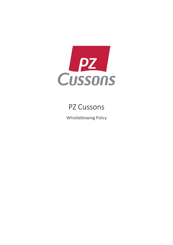

# PZ Cussons

Whistleblowing Policy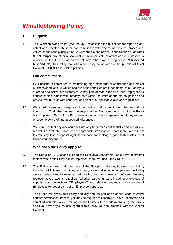

# **Whistleblowing Policy**

# **1 Purpose**

1.1 This Whistleblowing Policy (the "**Policy**") establishes the guidelines for reporting any actual or suspected abuse or non-compliance with any of the policies, procedures, values or business principles of PZ Cussons plc and any of its subsidiaries or affiliates (the "**Group**"), any other misconduct or improper state of affairs or circumstances in relation to the Group, or breach of any other law or regulation ("**Suspected Misconduct**"). This Policy should be read in conjunction with our Group Code of Ethical Conduct ("**COEC**") and related policies.

# **2 Our commitment**

- 2.1 PZ Cussons is committed to maintaining high standards of compliance and ethical business conduct. Our values and business principles are fundamental to our ability to succeed and serve our customers. A key part of that is for all of our Employees to conduct their business with integrity, both within the limits of our internal policies and procedures, but also within the limit and spirit of all applicable laws and regulations.
- 2.2 We act with openness, integrity and trust, ask for help, admit to our mistakes and put things right. To do that we need the support of our Employees which is why this Policy is so important. Each of our Employees is responsible for speaking up if they witness or become aware of any Suspected Misconduct.
- 2.3 You can trust that any disclosure will not only be treated confidentially and sensitively, but will be evaluated, and where appropriate investigated, thoroughly. We will not tolerate any kind ofreprisal against someone for making a good faith disclosure of Suspected Misconduct.

# **3 Who does the Policy apply to?**

- 3.1 The Board of PZ Cussons plc and the Executive Leadership Team have committed themselves to this Policy and its implementation throughout the Group.
- 3.2 This Policy applies to all members of the Group's workforce, in every jurisdiction, including all full-time, part-time, temporary, seasonal or other employees (including work experience and trainees), as well as all contractors, consultants, officers, directors, representatives, agents, suppliers (whether paid or unpaid, including employees of suppliers) and associates ("**Employees**") and relatives, dependants or spouses of Employees (or dependants of an Employee's spouse).
- 3.3 The Group will review this Policy annually and, as part of an annual code of ethical conduct certification process, you may be required to confirm you have understood and complied with this Policy. Training on this Policy will be made available by the Group and if you have any questions regarding this Policy, you should consult with the General Counsel.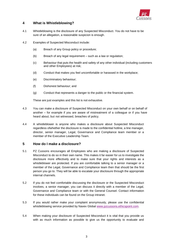

# **4 What is Whistleblowing?**

- 4.1 Whistleblowing is the disclosure of any Suspected Misconduct. You do not have to be sure of an allegation, a reasonable suspicion is enough.
- 4.2 Examples of Suspected Misconduct include:
	- (a) Breach of any Group policy or procedure;
	- (b) Breach of any legal requirement such as a law or regulation;
	- (c) Behaviour that puts the health and safety of any other individual (including customers and other Employees) at risk;
	- (d) Conduct that makes you feel uncomfortable or harassed in the workplace;
	- (e) Discriminatory behaviour;
	- (f) Dishonest behaviour; and
	- (g) Conduct that represents a danger to the public or the financial system.

These are just examples and this list is not exhaustive.

- 4.3 You can make a disclosure of Suspected Misconduct on your own behalf or on behalf of another – for example if you are aware of mistreatment of a colleague or if you have heard about, but not witnessed, breaches of policy.
- 4.4 A whistleblower is anyone who makes a disclosure about Suspected Misconduct regardless ofwhether the disclosure is made to the confidential hotline, a line manager, director, senior manager, Legal, Governance and Compliance team member or a member of the Executive Leadership Team.

### **5 How do I make a disclosure?**

- 5.1 PZ Cussons encourages all Employees who are making a disclosure of Suspected Misconduct to do so in their own name. This makes it far easier for us to investigate the disclosure more effectively and to make sure that your rights and interests as a whistleblower are protected. If you are comfortable talking to a senior manager or a member of the Legal, Governance and Compliance team then that should be the first person you go to. They will be able to escalate your disclosure through the appropriate internal channels.
- 5.2 If you do not feel comfortable discussing the disclosure or the Suspected Misconduct involves, a senior manager, you can discuss it directly with a member of the Legal, Governance and Compliance team or with the General Counsel. Contact information for these individuals can be found on the Group intranet.
- 5.3 If you would rather make your complaint anonymously, please use the confidential whistleblowing service provided by Navex Global [www.pzcussons.ethicspoint.com.](http://www.pzcussons.ethicspoint.com/)
- 5.4 When making your disclosure of Suspected Misconduct it is vital that you provide us with as much information as possible to give us the opportunity to evaluate and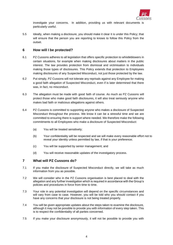

investigate your concerns. In addition, providing us with relevant documents is particularly useful.

5.5 Ideally, when making a disclosure, you should make it clear it is under this Policy; that will ensure that the person you are reporting to knows to follow this Policy from the outset.

### **6 How will I be protected?**

- 6.1 PZ Cussons adheres to all legislation that offers specific protection to whistleblowers in certain situations, for example when making disclosures about matters in the public interest. The law provides protection from dismissal and victimisation to individuals making those types of disclosures. This Policy extends that protection to Employees making disclosures of any Suspected Misconduct, not just those protected by the law.
- 6.2 Put simply, PZ Cussons will not tolerate any reprisals against any Employee for making a good faith allegation of Suspected Misconduct, even if is later determined that there was, in fact, no misconduct.
- 6.3 The allegation must be made with good faith of course. As much as PZ Cussons will protect those who make good faith disclosures, it will also treat seriously anyone who makes bad faith or malicious allegations against others.
- 6.4 PZ Cussons is committed to supporting anyone who makes a disclosure of Suspected Misconduct throughout the process. We know it can be a stressful time and we are committed to ensuring there is support where needed. We therefore make the following commitments to all Employees who make a disclosure of Suspected Misconduct:
	- (a) You will be treated sensitively;
	- (b) Your confidentiality will be respected and we will make every reasonable effort not to reveal your identity unless permitted by law, if that is your preference;
	- (c) You will be supported by senior management; and
	- (d) You will receive reasonable updates of the investigatory process.

# **7 What will PZ Cussons do?**

- 7.1 If you make the disclosure of Suspected Misconduct directly, we will take as much information from you as possible.
- 7.2 We will consider who in the PZ Cussons organisation is best placed to deal with the allegation and any further investigation which is required in accordance with the Group's policies and procedures in force from time to time.
- 7.3 Your role in any potential investigation will depend on the specific circumstances and will vary from case to case. However, you will be told who you should contact if you have any concerns that your disclosure is not being treated properly.
- 7.4 You will be given appropriate updates about the steps taken to examine the disclosure, although it may not be possible to provide you with information of every step taken. This is to respect the confidentiality of all parties concerned.
- 7.5 If you make your disclosure anonymously, it will not be possible to provide you with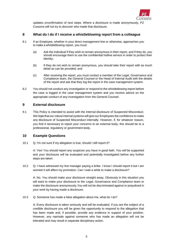

updates orconfirmation of next steps. Where a disclosure is made anonymously, PZ Cussons will not try to discover who made that disclosure.

### **8 What do I do if I receive a whistleblowing report from a colleague**

- 8.1 If an Employee, whether in your direct management line or otherwise, approaches you to make a whistleblowing report, you must:
	- (a) Ask the individual if they wish to remain anonymous in their report, and if they do, you should encourage them to use the confidential hotline service in order to protect their identity;
	- (b) If they do not wish to remain anonymous, you should take their report with as much detail as can be provided; and
	- (c) After receiving the report, you must contact a member of the Legal, Governance and Compliance team, the General Counsel or the Head of Internal Audit with the details of the report and ask that they log the report in the case management system.
- 8.2 You should not conduct any investigation or respond to the whistleblowing report before the case is logged in the case management system and you receive advice on the appropriate conduct of any investigation from the General Counsel.

### **9 External disclosure**

9.1 This Policy is intended to assist with the internal disclosure of Suspected Misconduct. We hope that our robust internal systems will give our Employees the confidence to make any disclosure of Suspected Misconduct internally. However, if, for whatever reason, you find it necessary to report your concerns to an external body, this should be to a professional, regulatory or government body.

### **10 Example Questions**

10.1 Q: I'm not sure if my allegation is true, should I still report it?

A: Yes! You should report any suspicion you have in good faith. You will be supported and your disclosure will be evaluated and potentially investigated before any further steps are taken.

10.2 Q: I have witnessed my line manager paying a bribe. I know I should report it but I am worried it will affect my promotion. Can I wait a while to make a disclosure?

A: No. You should make your disclosure straight away. Obviously in this situation you will want to make your disclosure to the Legal, Governance and Compliance team or make the disclosure anonymously.You will not be discriminated against or prejudiced in your work by having made a disclosure.

10.3 Q: Someone has made a false allegation about me, what do I do?

A: Every disclosure is taken seriously and will be evaluated. If you are the subject of a credible disclosure you will be given the opportunity to respond to the allegation that has been made and, if possible, provide any evidence in support of your position. However, any reprisals against someone who has made an allegation will not be tolerated and may result in separate disciplinary action.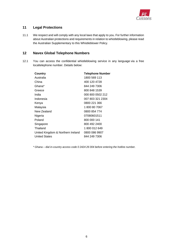

# **11 Legal Protections**

11.1 We respect and will comply with any local laws that apply to you. For further information about Australian protections and requirements in relation to whistleblowing, please read the Australian Supplementary to this Whistleblower Policy.

# **12 Navex Global Telephone Numbers**

12.1 You can access the confidential whistleblowing service in any language via a free localtelephone number. Details below:

| <b>Telephone Number</b>                            |
|----------------------------------------------------|
| 1800 569 113                                       |
| 400 120 4728                                       |
| 844 249 7306                                       |
| 800 848 1539                                       |
| 000 800 0502 212                                   |
| 007 803 321 2304                                   |
| 0800 221 366                                       |
| 1800807067                                         |
| 0800 854 774                                       |
| 07080601511                                        |
| 800 000 141                                        |
| 800 492 2400                                       |
| 1800012649                                         |
| United Kingdom & Northern Ireland<br>0800 086 9907 |
| 844 249 7306                                       |
|                                                    |

*\* Ghana – dial in-country access code 0 2424 26 004 before entering the hotline number.*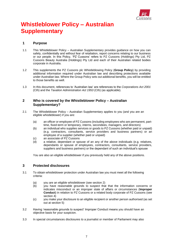

# **Whistleblower Policy – Australian Supplementary**

### **1 Purpose**

- 1.1 This Whistleblower Policy Australian Supplementary provides guidance on how you can safely, confidentially and without fear of retaliation, report concerns relating to our business or our people. In this Policy, 'PZ Cussons' refers to PZ Cussons (Holdings) Pty Ltd, PZ Cussons Beauty Australia (Holdings) Pty Ltd and each of their Australian related bodies corporate in Australia.
- 1.2 This supplements the PZ Cussons plc Whistleblowing Policy (**Group Policy**) by providing additional information required under Australian law and describing protections available under Australian law. Where the Group Policy sets out additional benefits, you will be entitled to those benefits as well.
- 1.3 In this document, references to 'Australian law' are references to the *Corporations Act 2001*  (Cth) and the *Taxation Administration Act 1953* (Cth) (as applicable).

### **2 Who is covered by the Whistleblower Policy – Australian Supplementary?**

- 2.1 The Whistleblower Policy Australian Supplementary applies to you (and you are an eligible whistleblower) if you are:
	- (a) an officer or employee of PZ Cussons (including employees who are permanent, parttime, fixed-term or temporary, interns, secondees, managers, and directors)
	- (b) an individual who supplies services or goods to PZ Cussons (whether paid or unpaid) (e.g. contractors, consultants, service providers and business partners) or an employee of a supplier (whether paid or unpaid)
	- (c) an associate of PZ Cussons
	- (d) a relative, dependant or spouse of an any of the above individuals (e.g. relatives, dependants or spouse of employees, contractors, consultants, service providers, suppliers and business partners) or the dependant of such an individual's spouse

You are also an eligible whistleblower if you previously held any of the above positions.

### **3 Protected disclosures**

- 3.1 To obtain whistleblower protection under Australian law you must meet all the following criteria:
	- (a) you are an eligible whistleblower (see section 2)
	- (b) you have reasonable grounds to suspect that that the information concerns or indicates misconduct or an improper state of affairs or circumstances (**Improper Conduct**) in relation to PZ Cussons or a related body corporate of PZ Cussons (see section 4)
	- (c) you make your disclosure to an eligible recipient or another person authorised (as set out at section 5)
- 3.2 Having 'reasonable grounds to suspect' Improper Conduct means you should have an objective basis for your suspicion.
- 3.3 In special circumstances disclosures to a journalist or member of Parliament may also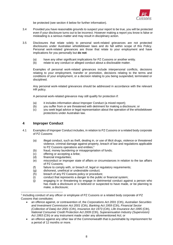

be protected (see section 4 below for further information).

- 3.4 Provided you have reasonable grounds to suspect your report to be true, you will be protected even if your disclosure turns out to be incorrect. However making a report you know is false or misleading is a serious matter and may result in disciplinary action.
- 3.5 Disclosures that relate solely to personal work-related grievances are not protected disclosures under Australian whistleblower laws and do fall within scope of this Policy. Personal work-related grievances are those that relate to your employment and have implications for you personally but **do not**:
	- (a) have any other significant implications for PZ Cussons or another entity.
	- (b) relate to any conduct or alleged conduct about a disclosable matter.

Examples of personal work-related grievances include interpersonal conflicts, decisions relating to your employment, transfer or promotion, decisions relating to the terms and conditions of your employment, or a decision relating to you being suspended, terminated or disciplined.

Any personal work-related grievances should be addressed in accordance with the relevant HR policy.

A personal work-related grievance may still qualify for protection if:

- (a) it includes information about Improper Conduct (a mixed report);
- (b) you suffer from or are threatened with detriment for making a disclosure; or
- $(c)$  you seek legal advice or legal representation about the operation of the whistleblower protections under Australian law.

### **4 Improper Conduct**

- 4.1 Examples of Improper Conduct includes, in relation to PZ Cussons or a related body corporate of PZ Cussons:
	- (a) illegal conduct, such as theft, dealing in, or use of illicit drugs, violence or threatened violence, criminal damage against property, breach of law and regulations applicable to PZ Cussons operations and entities;<sup>1</sup>
	- (b) fraud, money laundering or misappropriation of funds;
	- (c) offering or accepting a bribe;
	- (d) financial irregularities;
	- (e) misconduct or improper state of affairs or circumstances in relation to the tax affairs of PZ Cussons;
	- (f) failure to comply with, or breach of, legal or regulatory requirements;
	- (g) dishonest, unethical or undesirable conduct;
	- (h) breach of any PZ Cussons policy or procedure;
	- (i) conduct that represents a danger to the public or financial system;
	- (j) engaging in or threatening to engage in detrimental conduct against a person who has made a disclosure or is believed or suspected to have made, or be planning to make, a disclosure;

- an offence against, or contravention of, the *Corporations Act 2001* (Cth), *Australian Securities and Investment Commission Act 2001* (Cth), *Banking Act 1959* (Cth), *Financial Sector (Collection of Data) Act 2001* (Cth), *Insurance Act 1973* (Cth), *Life Insurance Act 1995* (Cth), *National Consumer Credit Protection Act 2009* (Cth), *Superannuation Industry (Supervision) Act 1993* (Cth) or any instrument made under any aforementioned Act; or
- an offence against any other law of the Commonwealth that is punishable by imprisonment for a period of 12 months or more.

<sup>1</sup> Including conduct of any officer or employee of PZ Cussons or a related body corporate of PZ Cussons that constitutes: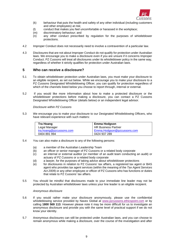

- (k) behaviour that puts the health and safety of any other individual (including customers and other employees) at risk;
- (l) conduct that makes you feel uncomfortable or harassed in the workplace;
- (m) discriminatory behaviour; and
- (n) any other conduct prescribed by regulation for the purposes of whistleblower protections.
- 4.2 Improper Conduct does not necessarily need to involve a contravention of a particular law.
- 4.3 Disclosures that are not about Improper Conduct do not qualify for protection under Australian laws. We encourage you to make a disclosure even if you are unsure if it concerns Improper Conduct. PZ Cussons will treat all disclosures under its whistleblower policy in the same way, regardless of whether it strictly qualifies for protection under Australian laws.

### **5 Who can receive a disclosure?**

- 5.1 To obtain whistleblower protection under Australian laws, you must make your disclosure to an eligible recipient, as set out below. While we encourage you to make your disclosure to a PZ Cussons Designated Whistleblowing Officer, you can qualify for protection regardless of which of the channels listed below you choose to report through, internal or external.
- 5.2 If you would like more information about how to make a protected disclosure or the whistleblower protections before making a disclosure, you can contact a PZ Cussons Designated Whistleblowing Officer (details below) or an independent legal advisor.

*Disclosure within PZ Cussons* 

5.3 We encourage you to make your disclosure to our Designated Whistleblowing Officers, who have relevant experience with such matters:

| Tra Hoang               | <b>Emma Hodgson</b>        |
|-------------------------|----------------------------|
| Legal Manager           | HR Business Partner        |
| tra.hoang@pzcussons.com | Emma.Hodgson@pzcussons.com |
| 0404 891 994            | 0424 937 289               |

- 5.4 You can also make a disclosure to any of the following persons:
	- (a) a member of the Australian Leadership Team
	- (b) an officer or senior manager of PZ Cussons or a related body corporate
	- (c) an internal or external auditor (or member of an audit team conducting an audit) or actuary of PZ Cussons or a related body corporate
	- (d) a lawyer, for the purposes of taking advice about whistleblower protections
	- (e) for disclosures in relation to PZ Cussons' tax affairs, a registered tax agent or BAS agent who provides tax agent services (within the meaning of the *Tax Agent Services Act 2009*) or any other employee or officer of PZ Cussons who has functions or duties that relate to PZ Cussons<sup>'</sup> tax affairs
- 5.5 You should be mindful that disclosures made to your immediate line leader may not be protected by Australian whistleblower laws unless your line leader is an eligible recipient.

#### *Anonymous disclosure*

- 5.6 If you would rather make your disclosure anonymously, please use the confidential whistleblowing service provided by Navex Global at [www.pzcussons.ethicspoint.com](http://www.pzcussons.ethicspoint.com/) or by calling **1800 569 113**. However please note it may be more difficult for us to investigate an anonymous disclosure and provide you with the same level of practical support if we do not know your identity.
- 5.7 Anonymous disclosures can still be protected under Australian laws, and you can choose to remain anonymous while making a disclosure, over the course of the investigation and after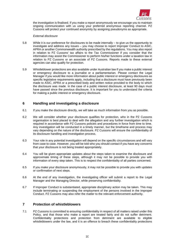

the investigation is finalised. If you make a report anonymously we encourage you to maintain ongoing communication with us using your preferred anonymous reporting channel. PZ Cussons will protect your continued anonymity by assigning pseudonyms as appropriate.

#### *External disclosure*

- 5.8 While it is our preference for disclosures to be made internally to give us the opportunity to investigate and address any issues – you may choose to report Improper Conduct to ASIC, APRA or another Commonwealth authority prescribed by the regulations. You may also report in relation to PZ Cussons' tax affairs to the Tax Commissioner if you consider that the information may assist the Commissioner to perform his/her functions under a taxation law in relation to PZ Cussons or an associate of PZ Cussons. Reports made to these external agencies can also qualify for protection.
- 5.9 Whistleblower protections are also available under Australian law if you make a public interest or emergency disclosure to a journalist or a parliamentarian. Please contact the Legal Manager if you would like more information about public interest or emergency disclosures as specific legislative requirements apply, including that a disclosure must have previously been made to ASIC, APRA or a prescribed body and written notice provided to the body to which the disclosure was made. In the case of a public interest disclosure, at least 90 days must have passed since the previous disclosure. It is important for you to understand the criteria for making a public interest or emergency disclosure.

### **6 Handling and investigating a disclosure**

- 6.1 If you make the disclosure directly, we will take as much information from you as possible.
- 6.2 We will consider whether your disclosure qualifies for protection, who in the PZ Cussons organisation is best placed to deal with the allegation and any further investigation which is required in accordance with PZ Cussons policies and procedures in force from time to time. Any investigation will be conducted in a timely manner, but the timeframe and process may vary depending on the nature of the disclosure. PZ Cussons will ensure the confidentiality of its disclosure handling and investigation process.
- 6.3 Your role in any potential investigation will depend on the specific circumstances and will vary from case to case. However, you will be told who you should contact if you have any concerns that your disclosure is not being treated appropriately.
- 6.4 You will be given appropriate updates about the steps taken to examine the disclosure and approximate timing of these steps, although it may not be possible to provide you with information of every step taken. This is to respect the confidentiality of all parties concerned.
- 6.5 If you make your disclosure anonymously, it may not be possible to provide you with updates or confirmation of next steps.
- 6.6 At the end of any investigation, the investigating officer will submit a report to the Legal Manager and the Managing Director, while preserving confidentiality.
- 6.7 If Improper Conduct is substantiated, appropriate disciplinary action may be taken. This may include terminating or suspending the employment of the persons involved in the Improper Conduct. PZ Cussons may also refer the matter to the relevant enforcement authority.

### **7 Protection of whistleblowers**

7.1 PZ Cussons is committed to ensuring confidentiality in respect of all matters raised under this Policy, and that those who make a report are treated fairly and do not suffer detriment. Confidentiality protections and protection from detriment are available to eligible whistleblowers under the law, and it is an offence to breach these confidentiality protections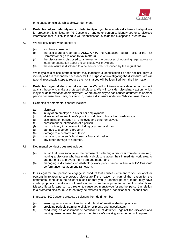

or to cause an eligible whistleblower detriment.

- 7.2 **Protection of your identity and confidentiality** If you have made a disclosure that qualifies for protection, it is illegal for PZ Cussons or any other person to identify you or to disclose information that is likely to lead to your identification, outside the exceptions listed below.
- 7.3 We will only share your identity if:
	- (a) you have consented
	- (b) the disclosure is reported to ASIC, APRA, the Australian Federal Police or the Tax Commissioner (in relation to tax matters)
	- (c) the disclosure is disclosed to a lawyer for the purposes of obtaining legal advice or legal representation about the whistleblower provisions
	- (d) the disclosure is disclosed to a person or body prescribed by the regulations.

We may also disclose information that may lead to your identification if it does not include your identity and it is reasonably necessary for the purpose of investigating the disclosure. We will take all reasonable steps to reduce the risk that you will be identified from the information.

- 7.4 **Protection against detrimental conduct** We will not tolerate any detrimental conduct against those who make a protected disclosure. We will consider disciplinary action, which may include termination of employment, where an employee has caused detriment to another person because they have, or intend to, make a disclosure under our Whistleblower Policy.
- 7.5 Examples of detrimental conduct include:
	- (a) dismissal
	- (b) injury of an employee in his or her employment;
	- (c) alteration of an employee's position or duties to his or her disadvantage
	- $\overrightarrow{a}$  discrimination between an employee and other employees
	- (e) harassment or intimidation of a person
	- (f) harm or injury to a person, including psychological harm
	- (g) damage to a person's property
	- (h) damage to a person's reputation
	- (i) damage to a person's business or financial position
	- (j) any other damage to a person.
- 7.6 Detrimental conduct **does not** include:
	- (a) action that is reasonable for the purpose of protecting a discloser from detriment (e.g. moving a discloser who has made a disclosure about their immediate work area to another office to prevent them from detriment); and
	- (b) managing a discloser's unsatisfactory work performance, in line with PZ Cussons' performance management framework.
- 7.7 It is illegal for any person to engage in conduct that causes detriment to you (or another person) in relation to a protected disclosure if the reason or part of the reason for the detrimental conduct is the belief or suspicion that you (or another person) made, may have made, proposes to make or could make a disclosure that is protected under Australian laws. It is also illegal for a person to threaten to cause detriment to you (or another person) in relation to a protected disclosure. A threat may be express or implied, conditional or unconditional.

In practice, PZ Cussons protects disclosers from detriment by:

- (a) ensuring secure record keeping and robust information sharing practices;
- (b) providing periodic training to eligible recipients and investigators;
- (c) conducting an assessment of potential risk of detriment against the discloser and making case-by-case changes to the discloser's working arrangements if required;